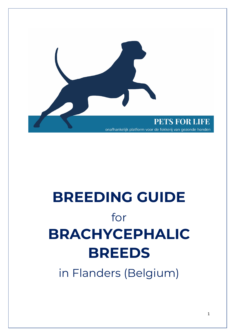

# **BREEDING GUIDE** for **BRACHYCEPHALIC BREEDS**

in Flanders (Belgium)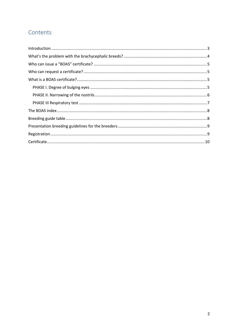#### Contents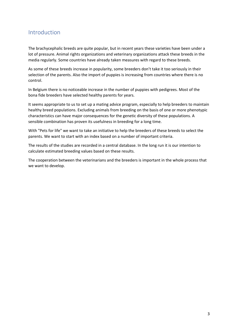#### Introduction

The brachycephalic breeds are quite popular, but in recent years these varieties have been under a lot of pressure. Animal rights organizations and veterinary organizations attack these breeds in the media regularly. Some countries have already taken measures with regard to these breeds.

As some of these breeds increase in popularity, some breeders don't take it too seriously in their selection of the parents. Also the import of puppies is increasing from countries where there is no control.

In Belgium there is no noticeable increase in the number of puppies with pedigrees. Most of the bona fide breeders have selected healthy parents for years.

It seems appropriate to us to set up a mating advice program, especially to help breeders to maintain healthy breed populations. Excluding animals from breeding on the basis of one or more phenotypic characteristics can have major consequences for the genetic diversity of these populations. A sensible combination has proven its usefulness in breeding for a long time.

With "Pets for life" we want to take an initiative to help the breeders of these breeds to select the parents. We want to start with an index based on a number of important criteria.

The results of the studies are recorded in a central database. In the long run it is our intention to calculate estimated breeding values based on these results.

The cooperation between the veterinarians and the breeders is important in the whole process that we want to develop.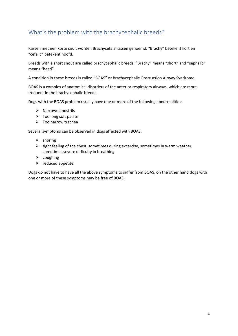## What's the problem with the brachycephalic breeds?

Rassen met een korte snuit worden Brachycefale rassen genoemd. "Brachy" betekent kort en "cefalic" betekent hoofd.

Breeds with a short snout are called brachycephalic breeds. "Brachy" means "short" and "cephalic" means "head".

A condition in these breeds is called "BOAS" or Brachycephalic Obstruction Airway Syndrome.

BOAS is a complex of anatomical disorders of the anterior respiratory airways, which are more frequent in the brachycephalic breeds.

Dogs with the BOAS problem usually have one or more of the following abnormalities:

- $\triangleright$  Narrowed nostrils
- $\triangleright$  Too long soft palate
- $\triangleright$  Too narrow trachea

Several symptoms can be observed in dogs affected with BOAS:

- $\triangleright$  snoring
- $\triangleright$  tight feeling of the chest, sometimes during excercise, sometimes in warm weather, sometimes severe difficulty in breathing
- $\triangleright$  coughing
- $\triangleright$  reduced appetite

Dogs do not have to have all the above symptoms to suffer from BOAS, on the other hand dogs with one or more of these symptoms may be free of BOAS.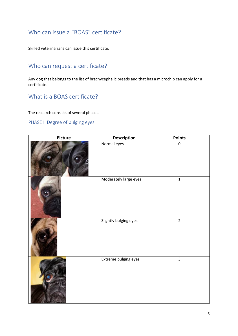#### Who can issue a "BOAS" certificate?

Skilled veterinarians can issue this certificate.

### Who can request a certificate?

Any dog that belongs to the list of brachycephalic breeds and that has a microchip can apply for a certificate.

#### What is a BOAS certificate?

The research consists of several phases.

#### PHASE I. Degree of bulging eyes

| Picture | <b>Description</b>    | <b>Points</b>           |  |  |  |  |
|---------|-----------------------|-------------------------|--|--|--|--|
|         | Normal eyes           | $\pmb{0}$               |  |  |  |  |
|         | Moderately large eyes | $\mathbf 1$             |  |  |  |  |
|         | Slightly bulging eyes | $\overline{2}$          |  |  |  |  |
|         | Extreme bulging eyes  | $\overline{\mathbf{3}}$ |  |  |  |  |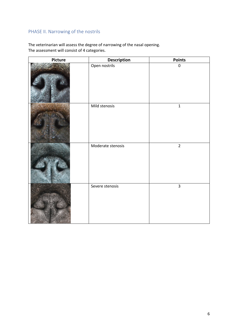#### PHASE II. Narrowing of the nostrils

The veterinarian will assess the degree of narrowing of the nasal opening. The assessment will consist of 4 categories.

| Picture | <b>Description</b> | <b>Points</b>  |
|---------|--------------------|----------------|
|         | Open nostrils      | $\pmb{0}$      |
|         | Mild stenosis      | $\mathbf 1$    |
|         | Moderate stenosis  | $\overline{2}$ |
|         | Severe stenosis    | $\overline{3}$ |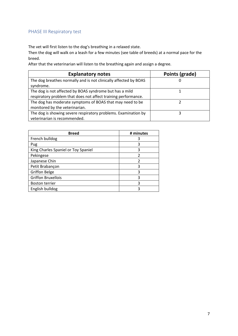#### PHASE III Respiratory test

The vet will first listen to the dog's breathing in a relaxed state.

Then the dog will walk on a leash for a few minutes (see table of breeds) at a normal pace for the breed.

After that the veterinarian will listen to the breathing again and assign a degree.

| <b>Explanatory notes</b>                                         | Points (grade) |
|------------------------------------------------------------------|----------------|
| The dog breathes normally and is not clinically affected by BOAS | U              |
| syndrome.                                                        |                |
| The dog is not affected by BOAS syndrome but has a mild          |                |
| respiratory problem that does not affect training performance.   |                |
| The dog has moderate symptoms of BOAS that may need to be        |                |
| monitored by the veterinarian.                                   |                |
| The dog is showing severe respiratory problems. Examination by   |                |
| veterinarian is recommended.                                     |                |

| <b>Breed</b>                        | # minutes |
|-------------------------------------|-----------|
| French bulldog                      |           |
| Pug                                 | 3         |
| King Charles Spaniel or Toy Spaniel | 3         |
| Pekingese                           | 2         |
| Japanese Chin                       | 2         |
| Petit Brabançon                     | 3         |
| <b>Griffon Belge</b>                | 3         |
| <b>Griffon Bruxellois</b>           | 3         |
| <b>Boston terrier</b>               | 3         |
| English bulldog                     | ς         |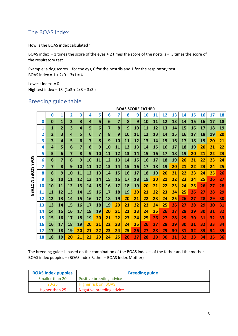#### The BOAS index

How is the BOAS index calculated?

BOAS index = 1 times the score of the eyes + 2 times the score of the nostrils + 3 times the score of the respiratory test

Example: a dog scores 1 for the eys, 0 for the nostrils and 1 for the respiratory test. BOAS index =  $1 + 2x0 + 3x1 = 4$ 

Lowest index  $= 0$ Hightest index = 18 (1x3 + 2x3 + 3x3 )

#### Breeding guide table

|                 | <b>BOAS SCORE FATHER</b> |    |                |    |    |    |    |    |    |    |    |           |    |    |    |    |    |    |    |    |
|-----------------|--------------------------|----|----------------|----|----|----|----|----|----|----|----|-----------|----|----|----|----|----|----|----|----|
|                 |                          | 0  | 1              | 2  | 3  | 4  | 5  | 6  | 7  | 8  | 9  | <b>10</b> | 11 | 12 | 13 | 14 | 15 | 16 | 17 | 18 |
|                 | 0                        | 0  | 1              | 2  | 3  | 4  | 5  | 6  | 7  | 8  | 9  | 10        | 11 | 12 | 13 | 14 | 15 | 16 | 17 | 18 |
|                 | 1                        | 1  | $\overline{2}$ | 3  | 4  | 5  | 6  | 7  | 8  | 9  | 10 | 11        | 12 | 13 | 14 | 15 | 16 | 17 | 18 | 19 |
|                 | 2                        | 2  | 3              | 4  | 5  | 6  | 7  | 8  | 9  | 10 | 11 | 12        | 13 | 14 | 15 | 16 | 17 | 18 | 19 | 20 |
|                 | 3                        | 3  | 4              | 5  | 6  | 7  | 8  | 9  | 10 | 11 | 12 | 13        | 14 | 15 | 16 | 17 | 18 | 19 | 20 | 21 |
|                 | 4                        | 4  | 5              | 6  | 7  | 8  | 9  | 10 | 11 | 12 | 13 | 14        | 15 | 16 | 17 | 18 | 19 | 20 | 21 | 22 |
|                 | 5                        | 5  | 6              | 7  | 8  | 9  | 10 | 11 | 12 | 13 | 14 | 15        | 16 | 17 | 18 | 19 | 20 | 21 | 22 | 23 |
| ᡂ<br><b>OAS</b> | 6                        | 6  | $\overline{7}$ | 8  | 9  | 10 | 11 | 12 | 13 | 14 | 15 | 16        | 17 | 18 | 19 | 20 | 21 | 22 | 23 | 24 |
| S               | 7                        | 7  | 8              | 9  | 10 | 11 | 12 | 13 | 14 | 15 | 16 | 17        | 18 | 19 | 20 | 21 | 22 | 23 | 24 | 25 |
| റ<br>O          | 8                        | 8  | 9              | 10 | 11 | 12 | 13 | 14 | 15 | 16 | 17 | 18        | 19 | 20 | 21 | 22 | 23 | 24 | 25 | 26 |
| 짂               | 9                        | 9  | 10             | 11 | 12 | 13 | 14 | 15 | 16 | 17 | 18 | 19        | 20 | 21 | 22 | 23 | 24 | 25 | 26 | 27 |
| <b>MOTHER</b>   | <b>10</b>                | 10 | 11             | 12 | 13 | 14 | 15 | 16 | 17 | 18 | 19 | 20        | 21 | 22 | 23 | 24 | 25 | 26 | 27 | 28 |
|                 | 11                       | 11 | 12             | 13 | 14 | 15 | 16 | 17 | 18 | 19 | 20 | 21        | 22 | 23 | 24 | 25 | 26 | 27 | 28 | 29 |
|                 | 12                       | 12 | 13             | 14 | 15 | 16 | 17 | 18 | 19 | 20 | 21 | 22        | 23 | 24 | 25 | 26 | 27 | 28 | 29 | 30 |
|                 | 13                       | 13 | 14             | 15 | 16 | 17 | 18 | 19 | 20 | 21 | 22 | 23        | 24 | 25 | 26 | 27 | 28 | 29 | 30 | 31 |
|                 | 14                       | 14 | 15             | 16 | 17 | 18 | 19 | 20 | 21 | 22 | 23 | 24        | 25 | 26 | 27 | 28 | 29 | 30 | 31 | 32 |
|                 | 15                       | 15 | 16             | 17 | 18 | 19 | 20 | 21 | 22 | 23 | 24 | 25        | 26 | 27 | 28 | 29 | 30 | 31 | 32 | 33 |
|                 | 16                       | 16 | 17             | 18 | 19 | 20 | 21 | 22 | 23 | 24 | 25 | 26        | 27 | 28 | 29 | 30 | 31 | 32 | 33 | 34 |
|                 | 17                       | 17 | 18             | 19 | 20 | 21 | 22 | 23 | 24 | 25 | 26 | 27        | 28 | 29 | 30 | 31 | 32 | 33 | 34 | 35 |
|                 | 18                       | 18 | 19             | 20 | 21 | 22 | 23 | 24 | 25 | 26 | 27 | 28        | 29 | 30 | 31 | 32 | 33 | 34 | 35 | 36 |

The breeding guide is based on the combination of the BOAS indexes of the father and the mother. BOAS index puppies = (BOAS Index Father + BOAS Index Mother)

| <b>BOAS Index puppies</b> | <b>Breeding guide</b>    |
|---------------------------|--------------------------|
| Smaller than 20           | Positive breeding advice |
| 20-25                     | Higher risk on BOAS      |
| Higher than 25            | Negative breeding advice |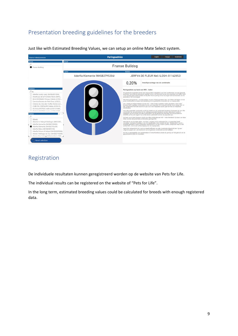## Presentation breeding guidelines for the breeders



Just like with Estimated Breeding Values, we can setup an online Mate Select system.

#### Registration

De individuele resultaten kunnen geregistreerd worden op de website van Pets for Life.

The individual results can be registered on the website of "Pets for Life".

In the long term, estimated breeding values could be calculated for breeds with enough registered data.